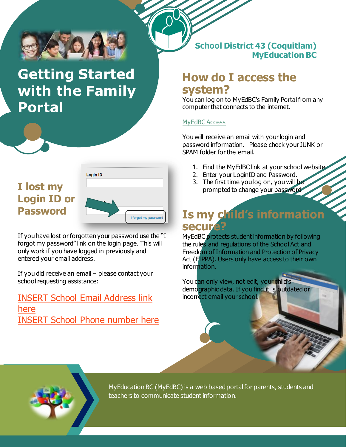

# **Getting Started with the Family Portal**

## **I lost my Login ID or Password**



If you have lost or forgotten your password use the "I forgot my password" link on the login page. This will only work if you have logged in previously and entered your email address.

If you did receive an email – please contact your school requesting assistance:

INSERT School Email Address link here INSERT School Phone number here **School District 43 (Coquitlam) MyEducation BC**

## **How do I access the system?**

You can log on to MyEdBC's Family Portal from any computer that connects to the internet.

#### [MyEdBC Access](https://myeducation.gov.bc.ca/aspen/logon.do)

You will receive an email with your login and password information. Please check your JUNK or SPAM folder for the email.

- 1. Find the MyEdBC link at your school website.
- 2. Enter your LoginID and Password.
- 3. The first time you log on, you will be prompted to change your password

## **Is my child's information secure?**

MyEdBC protects student information by following the rules and regulations of the School Act and Freedom of Information and Protection of Privacy Act (FIPPA). Users only have access to their own information.

You can only view, not edit, your child's demographic data. If you find it is outdated or incorrect email your school.



MyEducation BC (MyEdBC) is a web based portal for parents, students and teachers to communicate student information.